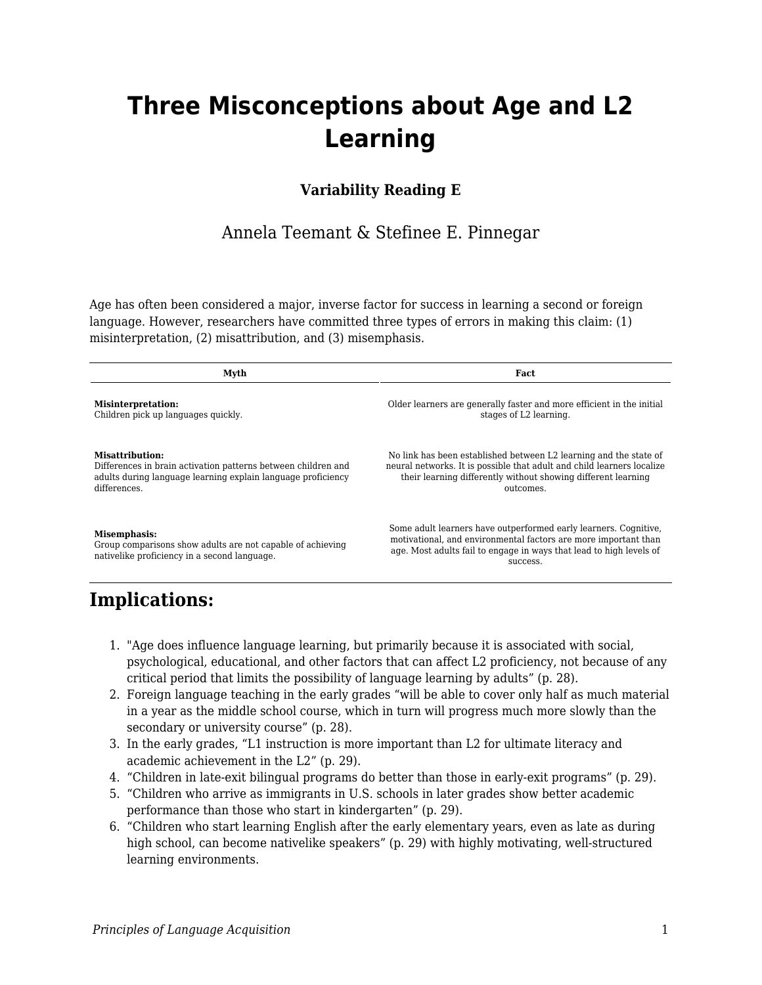# **Three Misconceptions about Age and L2 Learning**

### **Variability Reading E**

## Annela Teemant & Stefinee E. Pinnegar

Age has often been considered a major, inverse factor for success in learning a second or foreign language. However, researchers have committed three types of errors in making this claim: (1) misinterpretation, (2) misattribution, and (3) misemphasis.

| Myth                                                                                                                              | Fact                                                                                                                                                                                                                   |
|-----------------------------------------------------------------------------------------------------------------------------------|------------------------------------------------------------------------------------------------------------------------------------------------------------------------------------------------------------------------|
| <b>Misinterpretation:</b>                                                                                                         | Older learners are generally faster and more efficient in the initial                                                                                                                                                  |
| Children pick up languages quickly.                                                                                               | stages of L2 learning.                                                                                                                                                                                                 |
| <b>Misattribution:</b>                                                                                                            | No link has been established between L2 learning and the state of                                                                                                                                                      |
| Differences in brain activation patterns between children and                                                                     | neural networks. It is possible that adult and child learners localize                                                                                                                                                 |
| adults during language learning explain language proficiency                                                                      | their learning differently without showing different learning                                                                                                                                                          |
| differences.                                                                                                                      | outcomes.                                                                                                                                                                                                              |
| <b>Misemphasis:</b><br>Group comparisons show adults are not capable of achieving<br>nativelike proficiency in a second language. | Some adult learners have outperformed early learners. Cognitive,<br>motivational, and environmental factors are more important than<br>age. Most adults fail to engage in ways that lead to high levels of<br>success. |

# **Implications:**

- 1. "Age does influence language learning, but primarily because it is associated with social, psychological, educational, and other factors that can affect L2 proficiency, not because of any critical period that limits the possibility of language learning by adults" (p. 28).
- 2. Foreign language teaching in the early grades "will be able to cover only half as much material in a year as the middle school course, which in turn will progress much more slowly than the secondary or university course" (p. 28).
- 3. In the early grades, "L1 instruction is more important than L2 for ultimate literacy and academic achievement in the L2" (p. 29).
- 4. "Children in late-exit bilingual programs do better than those in early-exit programs" (p. 29).
- 5. "Children who arrive as immigrants in U.S. schools in later grades show better academic performance than those who start in kindergarten" (p. 29).
- 6. "Children who start learning English after the early elementary years, even as late as during high school, can become nativelike speakers" (p. 29) with highly motivating, well-structured learning environments.